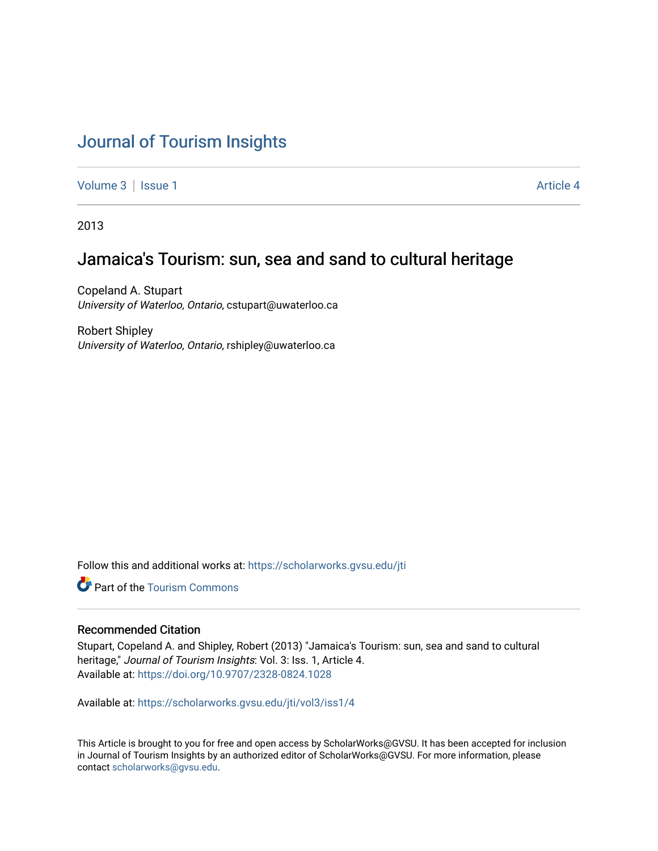# [Journal of Tourism Insights](https://scholarworks.gvsu.edu/jti)

[Volume 3](https://scholarworks.gvsu.edu/jti/vol3) | [Issue 1](https://scholarworks.gvsu.edu/jti/vol3/iss1) Article 4

2013

## Jamaica's Tourism: sun, sea and sand to cultural heritage

Copeland A. Stupart University of Waterloo, Ontario, cstupart@uwaterloo.ca

Robert Shipley University of Waterloo, Ontario, rshipley@uwaterloo.ca

Follow this and additional works at: [https://scholarworks.gvsu.edu/jti](https://scholarworks.gvsu.edu/jti?utm_source=scholarworks.gvsu.edu%2Fjti%2Fvol3%2Fiss1%2F4&utm_medium=PDF&utm_campaign=PDFCoverPages) 

Part of the [Tourism Commons](http://network.bepress.com/hgg/discipline/1022?utm_source=scholarworks.gvsu.edu%2Fjti%2Fvol3%2Fiss1%2F4&utm_medium=PDF&utm_campaign=PDFCoverPages)

#### Recommended Citation

Stupart, Copeland A. and Shipley, Robert (2013) "Jamaica's Tourism: sun, sea and sand to cultural heritage," Journal of Tourism Insights: Vol. 3: Iss. 1, Article 4. Available at:<https://doi.org/10.9707/2328-0824.1028>

Available at: [https://scholarworks.gvsu.edu/jti/vol3/iss1/4](https://scholarworks.gvsu.edu/jti/vol3/iss1/4?utm_source=scholarworks.gvsu.edu%2Fjti%2Fvol3%2Fiss1%2F4&utm_medium=PDF&utm_campaign=PDFCoverPages)

This Article is brought to you for free and open access by ScholarWorks@GVSU. It has been accepted for inclusion in Journal of Tourism Insights by an authorized editor of ScholarWorks@GVSU. For more information, please contact [scholarworks@gvsu.edu.](mailto:scholarworks@gvsu.edu)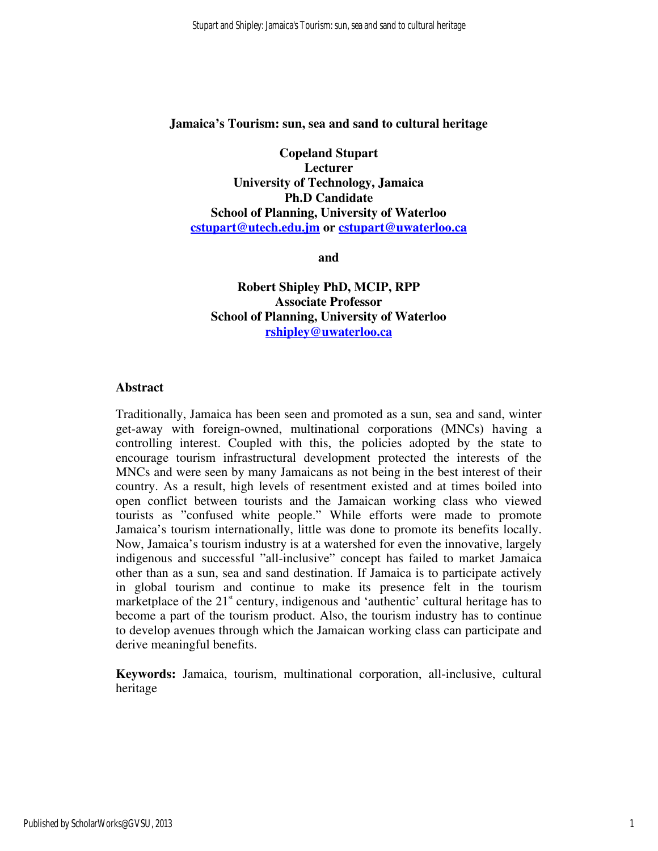#### **Jamaica's Tourism: sun, sea and sand to cultural heritage**

**Copeland Stupart Lecturer University of Technology, Jamaica Ph.D Candidate School of Planning, University of Waterloo cstupart@utech.edu.jm or cstupart@uwaterloo.ca** 

**and** 

**Robert Shipley PhD, MCIP, RPP Associate Professor School of Planning, University of Waterloo rshipley@uwaterloo.ca** 

#### **Abstract**

Traditionally, Jamaica has been seen and promoted as a sun, sea and sand, winter get-away with foreign-owned, multinational corporations (MNCs) having a controlling interest. Coupled with this, the policies adopted by the state to encourage tourism infrastructural development protected the interests of the MNCs and were seen by many Jamaicans as not being in the best interest of their country. As a result, high levels of resentment existed and at times boiled into open conflict between tourists and the Jamaican working class who viewed tourists as "confused white people." While efforts were made to promote Jamaica's tourism internationally, little was done to promote its benefits locally. Now, Jamaica's tourism industry is at a watershed for even the innovative, largely indigenous and successful "all-inclusive" concept has failed to market Jamaica other than as a sun, sea and sand destination. If Jamaica is to participate actively in global tourism and continue to make its presence felt in the tourism marketplace of the  $21<sup>st</sup>$  century, indigenous and 'authentic' cultural heritage has to become a part of the tourism product. Also, the tourism industry has to continue to develop avenues through which the Jamaican working class can participate and derive meaningful benefits.

**Keywords:** Jamaica, tourism, multinational corporation, all-inclusive, cultural heritage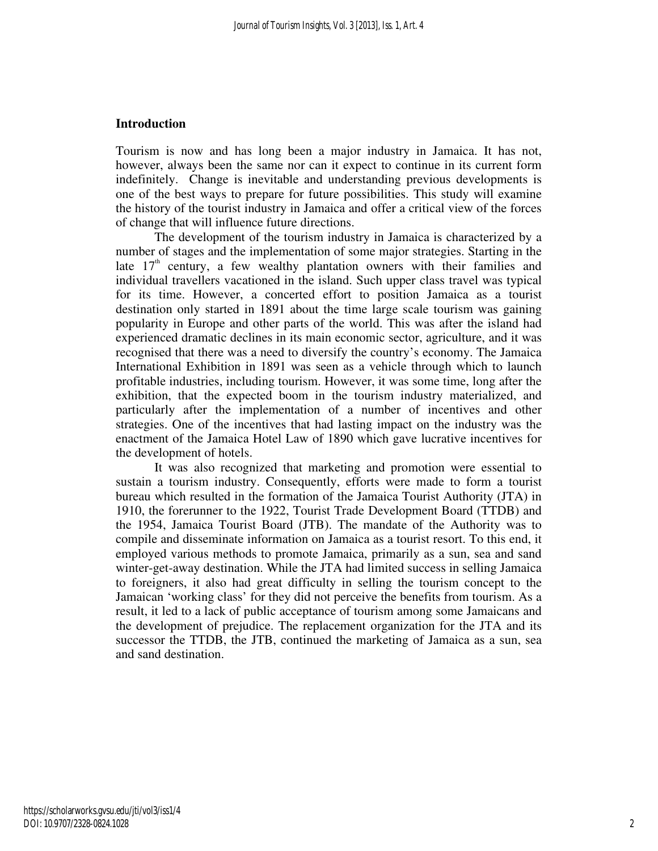#### **Introduction**

Tourism is now and has long been a major industry in Jamaica. It has not, however, always been the same nor can it expect to continue in its current form indefinitely. Change is inevitable and understanding previous developments is one of the best ways to prepare for future possibilities. This study will examine the history of the tourist industry in Jamaica and offer a critical view of the forces of change that will influence future directions.

The development of the tourism industry in Jamaica is characterized by a number of stages and the implementation of some major strategies. Starting in the late  $17<sup>th</sup>$  century, a few wealthy plantation owners with their families and individual travellers vacationed in the island. Such upper class travel was typical for its time. However, a concerted effort to position Jamaica as a tourist destination only started in 1891 about the time large scale tourism was gaining popularity in Europe and other parts of the world. This was after the island had experienced dramatic declines in its main economic sector, agriculture, and it was recognised that there was a need to diversify the country's economy. The Jamaica International Exhibition in 1891 was seen as a vehicle through which to launch profitable industries, including tourism. However, it was some time, long after the exhibition, that the expected boom in the tourism industry materialized, and particularly after the implementation of a number of incentives and other strategies. One of the incentives that had lasting impact on the industry was the enactment of the Jamaica Hotel Law of 1890 which gave lucrative incentives for the development of hotels.

It was also recognized that marketing and promotion were essential to sustain a tourism industry. Consequently, efforts were made to form a tourist bureau which resulted in the formation of the Jamaica Tourist Authority (JTA) in 1910, the forerunner to the 1922, Tourist Trade Development Board (TTDB) and the 1954, Jamaica Tourist Board (JTB). The mandate of the Authority was to compile and disseminate information on Jamaica as a tourist resort. To this end, it employed various methods to promote Jamaica, primarily as a sun, sea and sand winter-get-away destination. While the JTA had limited success in selling Jamaica to foreigners, it also had great difficulty in selling the tourism concept to the Jamaican 'working class' for they did not perceive the benefits from tourism. As a result, it led to a lack of public acceptance of tourism among some Jamaicans and the development of prejudice. The replacement organization for the JTA and its successor the TTDB, the JTB, continued the marketing of Jamaica as a sun, sea and sand destination.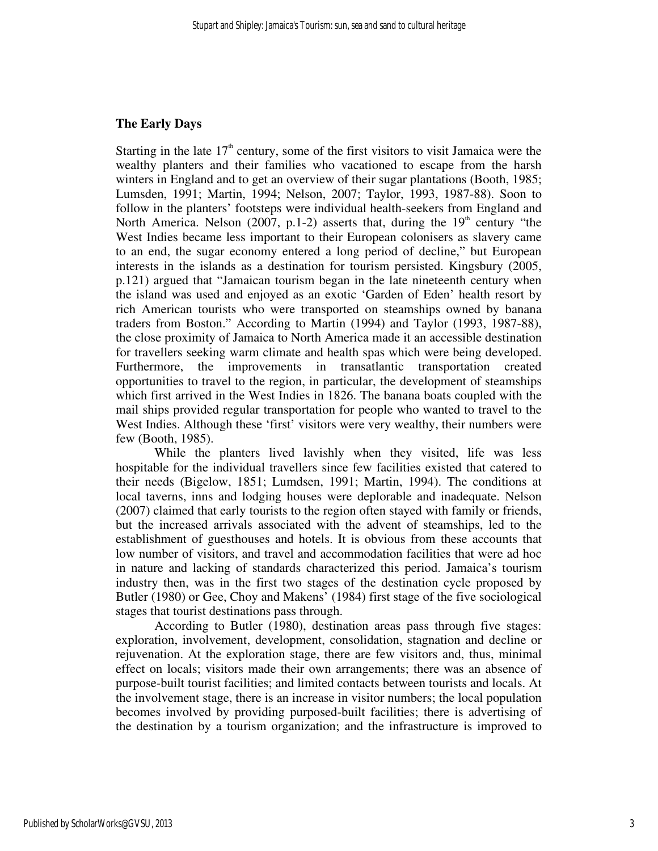#### **The Early Days**

Starting in the late  $17<sup>th</sup>$  century, some of the first visitors to visit Jamaica were the wealthy planters and their families who vacationed to escape from the harsh winters in England and to get an overview of their sugar plantations (Booth, 1985; Lumsden, 1991; Martin, 1994; Nelson, 2007; Taylor, 1993, 1987-88). Soon to follow in the planters' footsteps were individual health-seekers from England and North America. Nelson (2007, p.1-2) asserts that, during the  $19<sup>th</sup>$  century "the West Indies became less important to their European colonisers as slavery came to an end, the sugar economy entered a long period of decline," but European interests in the islands as a destination for tourism persisted. Kingsbury (2005, p.121) argued that "Jamaican tourism began in the late nineteenth century when the island was used and enjoyed as an exotic 'Garden of Eden' health resort by rich American tourists who were transported on steamships owned by banana traders from Boston." According to Martin (1994) and Taylor (1993, 1987-88), the close proximity of Jamaica to North America made it an accessible destination for travellers seeking warm climate and health spas which were being developed. Furthermore, the improvements in transatlantic transportation created opportunities to travel to the region, in particular, the development of steamships which first arrived in the West Indies in 1826. The banana boats coupled with the mail ships provided regular transportation for people who wanted to travel to the West Indies. Although these 'first' visitors were very wealthy, their numbers were few (Booth, 1985).

While the planters lived lavishly when they visited, life was less hospitable for the individual travellers since few facilities existed that catered to their needs (Bigelow, 1851; Lumdsen, 1991; Martin, 1994). The conditions at local taverns, inns and lodging houses were deplorable and inadequate. Nelson (2007) claimed that early tourists to the region often stayed with family or friends, but the increased arrivals associated with the advent of steamships, led to the establishment of guesthouses and hotels. It is obvious from these accounts that low number of visitors, and travel and accommodation facilities that were ad hoc in nature and lacking of standards characterized this period. Jamaica's tourism industry then, was in the first two stages of the destination cycle proposed by Butler (1980) or Gee, Choy and Makens' (1984) first stage of the five sociological stages that tourist destinations pass through.

According to Butler (1980), destination areas pass through five stages: exploration, involvement, development, consolidation, stagnation and decline or rejuvenation. At the exploration stage, there are few visitors and, thus, minimal effect on locals; visitors made their own arrangements; there was an absence of purpose-built tourist facilities; and limited contacts between tourists and locals. At the involvement stage, there is an increase in visitor numbers; the local population becomes involved by providing purposed-built facilities; there is advertising of the destination by a tourism organization; and the infrastructure is improved to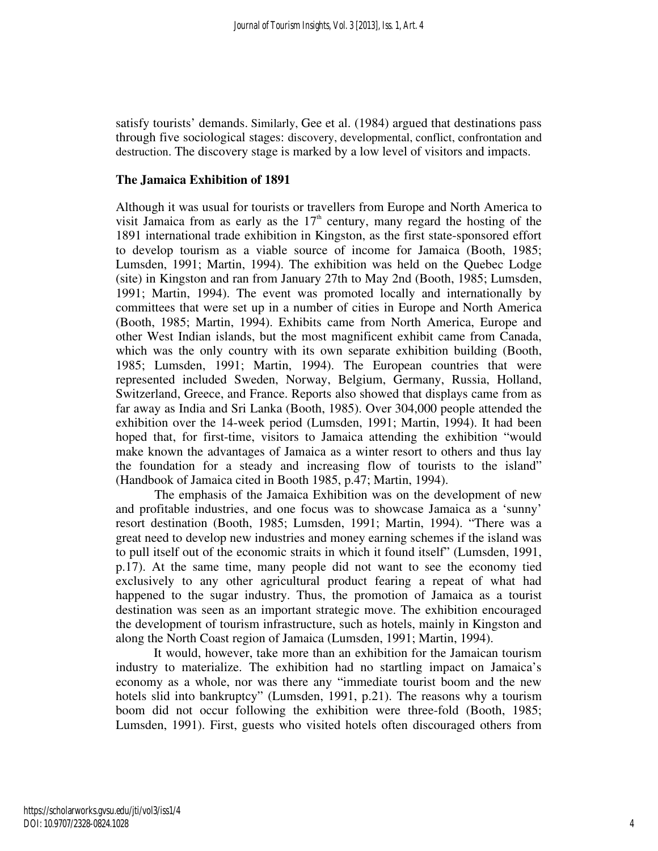satisfy tourists' demands. Similarly, Gee et al. (1984) argued that destinations pass through five sociological stages: discovery, developmental, conflict, confrontation and destruction. The discovery stage is marked by a low level of visitors and impacts.

#### **The Jamaica Exhibition of 1891**

Although it was usual for tourists or travellers from Europe and North America to visit Jamaica from as early as the  $17<sup>th</sup>$  century, many regard the hosting of the 1891 international trade exhibition in Kingston, as the first state-sponsored effort to develop tourism as a viable source of income for Jamaica (Booth, 1985; Lumsden, 1991; Martin, 1994). The exhibition was held on the Quebec Lodge (site) in Kingston and ran from January 27th to May 2nd (Booth, 1985; Lumsden, 1991; Martin, 1994). The event was promoted locally and internationally by committees that were set up in a number of cities in Europe and North America (Booth, 1985; Martin, 1994). Exhibits came from North America, Europe and other West Indian islands, but the most magnificent exhibit came from Canada, which was the only country with its own separate exhibition building (Booth, 1985; Lumsden, 1991; Martin, 1994). The European countries that were represented included Sweden, Norway, Belgium, Germany, Russia, Holland, Switzerland, Greece, and France. Reports also showed that displays came from as far away as India and Sri Lanka (Booth, 1985). Over 304,000 people attended the exhibition over the 14-week period (Lumsden, 1991; Martin, 1994). It had been hoped that, for first-time, visitors to Jamaica attending the exhibition "would make known the advantages of Jamaica as a winter resort to others and thus lay the foundation for a steady and increasing flow of tourists to the island" (Handbook of Jamaica cited in Booth 1985, p.47; Martin, 1994).

The emphasis of the Jamaica Exhibition was on the development of new and profitable industries, and one focus was to showcase Jamaica as a 'sunny' resort destination (Booth, 1985; Lumsden, 1991; Martin, 1994). "There was a great need to develop new industries and money earning schemes if the island was to pull itself out of the economic straits in which it found itself" (Lumsden, 1991, p.17). At the same time, many people did not want to see the economy tied exclusively to any other agricultural product fearing a repeat of what had happened to the sugar industry. Thus, the promotion of Jamaica as a tourist destination was seen as an important strategic move. The exhibition encouraged the development of tourism infrastructure, such as hotels, mainly in Kingston and along the North Coast region of Jamaica (Lumsden, 1991; Martin, 1994).

It would, however, take more than an exhibition for the Jamaican tourism industry to materialize. The exhibition had no startling impact on Jamaica's economy as a whole, nor was there any "immediate tourist boom and the new hotels slid into bankruptcy" (Lumsden, 1991, p.21). The reasons why a tourism boom did not occur following the exhibition were three-fold (Booth, 1985; Lumsden, 1991). First, guests who visited hotels often discouraged others from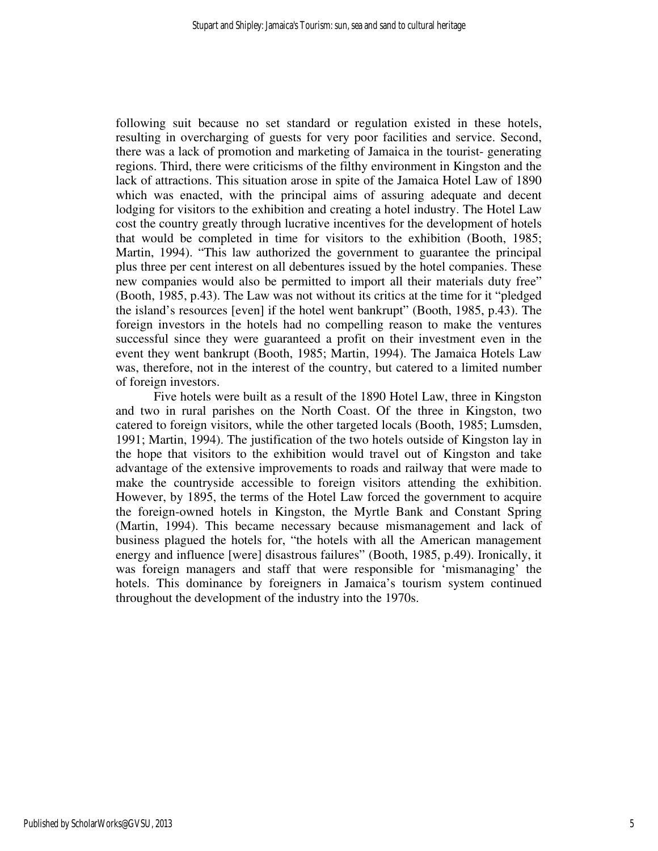following suit because no set standard or regulation existed in these hotels, resulting in overcharging of guests for very poor facilities and service. Second, there was a lack of promotion and marketing of Jamaica in the tourist- generating regions. Third, there were criticisms of the filthy environment in Kingston and the lack of attractions. This situation arose in spite of the Jamaica Hotel Law of 1890 which was enacted, with the principal aims of assuring adequate and decent lodging for visitors to the exhibition and creating a hotel industry. The Hotel Law cost the country greatly through lucrative incentives for the development of hotels that would be completed in time for visitors to the exhibition (Booth, 1985; Martin, 1994). "This law authorized the government to guarantee the principal plus three per cent interest on all debentures issued by the hotel companies. These new companies would also be permitted to import all their materials duty free" (Booth, 1985, p.43). The Law was not without its critics at the time for it "pledged the island's resources [even] if the hotel went bankrupt" (Booth, 1985, p.43). The foreign investors in the hotels had no compelling reason to make the ventures successful since they were guaranteed a profit on their investment even in the event they went bankrupt (Booth, 1985; Martin, 1994). The Jamaica Hotels Law was, therefore, not in the interest of the country, but catered to a limited number of foreign investors.

Five hotels were built as a result of the 1890 Hotel Law, three in Kingston and two in rural parishes on the North Coast. Of the three in Kingston, two catered to foreign visitors, while the other targeted locals (Booth, 1985; Lumsden, 1991; Martin, 1994). The justification of the two hotels outside of Kingston lay in the hope that visitors to the exhibition would travel out of Kingston and take advantage of the extensive improvements to roads and railway that were made to make the countryside accessible to foreign visitors attending the exhibition. However, by 1895, the terms of the Hotel Law forced the government to acquire the foreign-owned hotels in Kingston, the Myrtle Bank and Constant Spring (Martin, 1994). This became necessary because mismanagement and lack of business plagued the hotels for, "the hotels with all the American management energy and influence [were] disastrous failures" (Booth, 1985, p.49). Ironically, it was foreign managers and staff that were responsible for 'mismanaging' the hotels. This dominance by foreigners in Jamaica's tourism system continued throughout the development of the industry into the 1970s.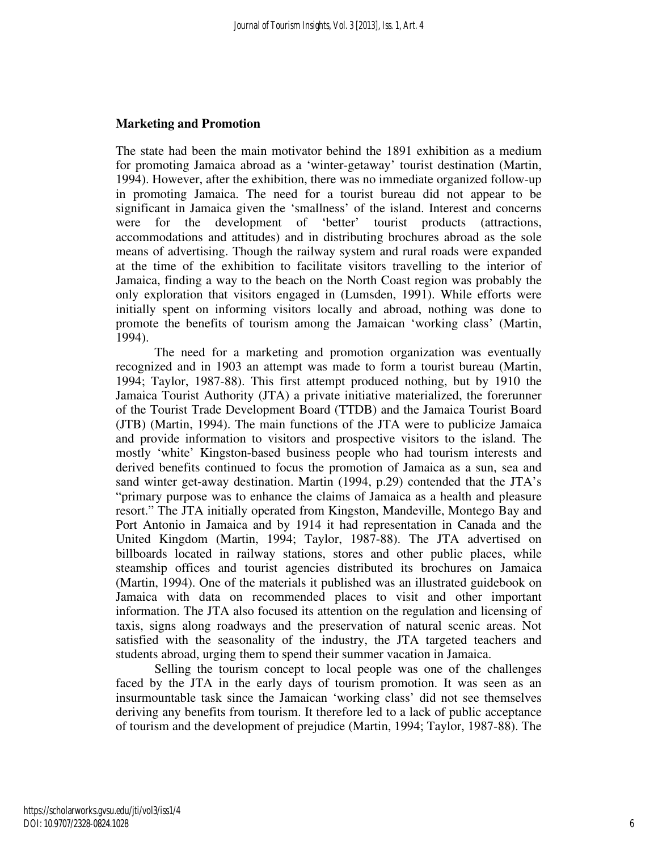### **Marketing and Promotion**

The state had been the main motivator behind the 1891 exhibition as a medium for promoting Jamaica abroad as a 'winter-getaway' tourist destination (Martin, 1994). However, after the exhibition, there was no immediate organized follow-up in promoting Jamaica. The need for a tourist bureau did not appear to be significant in Jamaica given the 'smallness' of the island. Interest and concerns were for the development of 'better' tourist products (attractions, accommodations and attitudes) and in distributing brochures abroad as the sole means of advertising. Though the railway system and rural roads were expanded at the time of the exhibition to facilitate visitors travelling to the interior of Jamaica, finding a way to the beach on the North Coast region was probably the only exploration that visitors engaged in (Lumsden, 1991). While efforts were initially spent on informing visitors locally and abroad, nothing was done to promote the benefits of tourism among the Jamaican 'working class' (Martin, 1994).

 The need for a marketing and promotion organization was eventually recognized and in 1903 an attempt was made to form a tourist bureau (Martin, 1994; Taylor, 1987-88). This first attempt produced nothing, but by 1910 the Jamaica Tourist Authority (JTA) a private initiative materialized, the forerunner of the Tourist Trade Development Board (TTDB) and the Jamaica Tourist Board (JTB) (Martin, 1994). The main functions of the JTA were to publicize Jamaica and provide information to visitors and prospective visitors to the island. The mostly 'white' Kingston-based business people who had tourism interests and derived benefits continued to focus the promotion of Jamaica as a sun, sea and sand winter get-away destination. Martin (1994, p.29) contended that the JTA's "primary purpose was to enhance the claims of Jamaica as a health and pleasure resort." The JTA initially operated from Kingston, Mandeville, Montego Bay and Port Antonio in Jamaica and by 1914 it had representation in Canada and the United Kingdom (Martin, 1994; Taylor, 1987-88). The JTA advertised on billboards located in railway stations, stores and other public places, while steamship offices and tourist agencies distributed its brochures on Jamaica (Martin, 1994). One of the materials it published was an illustrated guidebook on Jamaica with data on recommended places to visit and other important information. The JTA also focused its attention on the regulation and licensing of taxis, signs along roadways and the preservation of natural scenic areas. Not satisfied with the seasonality of the industry, the JTA targeted teachers and students abroad, urging them to spend their summer vacation in Jamaica.

 Selling the tourism concept to local people was one of the challenges faced by the JTA in the early days of tourism promotion. It was seen as an insurmountable task since the Jamaican 'working class' did not see themselves deriving any benefits from tourism. It therefore led to a lack of public acceptance of tourism and the development of prejudice (Martin, 1994; Taylor, 1987-88). The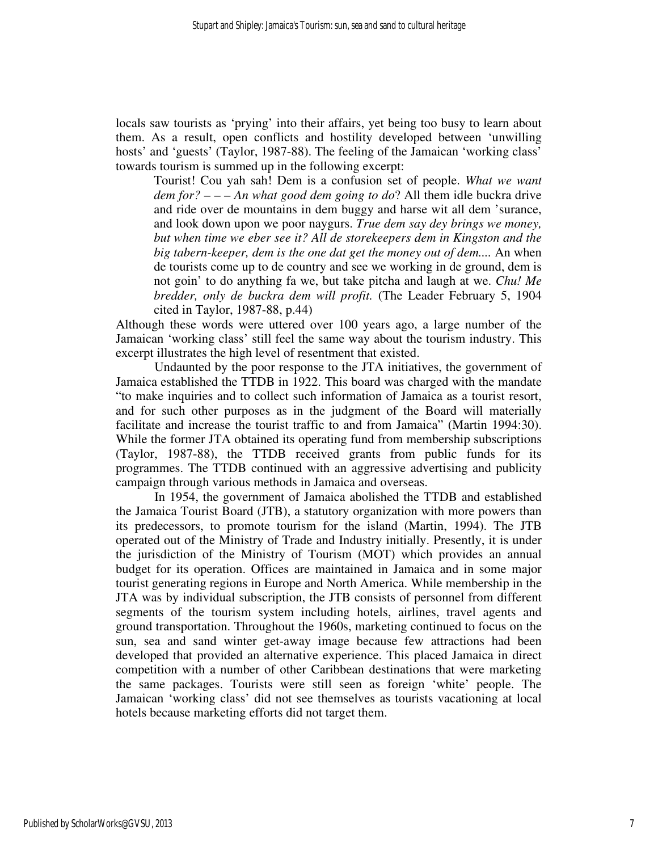locals saw tourists as 'prying' into their affairs, yet being too busy to learn about them. As a result, open conflicts and hostility developed between 'unwilling hosts' and 'guests' (Taylor, 1987-88). The feeling of the Jamaican 'working class' towards tourism is summed up in the following excerpt:

Tourist! Cou yah sah! Dem is a confusion set of people. *What we want dem for? – – – An what good dem going to do*? All them idle buckra drive and ride over de mountains in dem buggy and harse wit all dem 'surance, and look down upon we poor naygurs. *True dem say dey brings we money, but when time we eber see it? All de storekeepers dem in Kingston and the big tabern-keeper, dem is the one dat get the money out of dem....* An when de tourists come up to de country and see we working in de ground, dem is not goin' to do anything fa we, but take pitcha and laugh at we. *Chu! Me bredder, only de buckra dem will profit.* (The Leader February 5, 1904 cited in Taylor, 1987-88, p.44)

Although these words were uttered over 100 years ago, a large number of the Jamaican 'working class' still feel the same way about the tourism industry. This excerpt illustrates the high level of resentment that existed.

 Undaunted by the poor response to the JTA initiatives, the government of Jamaica established the TTDB in 1922. This board was charged with the mandate "to make inquiries and to collect such information of Jamaica as a tourist resort, and for such other purposes as in the judgment of the Board will materially facilitate and increase the tourist traffic to and from Jamaica" (Martin 1994:30). While the former JTA obtained its operating fund from membership subscriptions (Taylor, 1987-88), the TTDB received grants from public funds for its programmes. The TTDB continued with an aggressive advertising and publicity campaign through various methods in Jamaica and overseas.

 In 1954, the government of Jamaica abolished the TTDB and established the Jamaica Tourist Board (JTB), a statutory organization with more powers than its predecessors, to promote tourism for the island (Martin, 1994). The JTB operated out of the Ministry of Trade and Industry initially. Presently, it is under the jurisdiction of the Ministry of Tourism (MOT) which provides an annual budget for its operation. Offices are maintained in Jamaica and in some major tourist generating regions in Europe and North America. While membership in the JTA was by individual subscription, the JTB consists of personnel from different segments of the tourism system including hotels, airlines, travel agents and ground transportation. Throughout the 1960s, marketing continued to focus on the sun, sea and sand winter get-away image because few attractions had been developed that provided an alternative experience. This placed Jamaica in direct competition with a number of other Caribbean destinations that were marketing the same packages. Tourists were still seen as foreign 'white' people. The Jamaican 'working class' did not see themselves as tourists vacationing at local hotels because marketing efforts did not target them.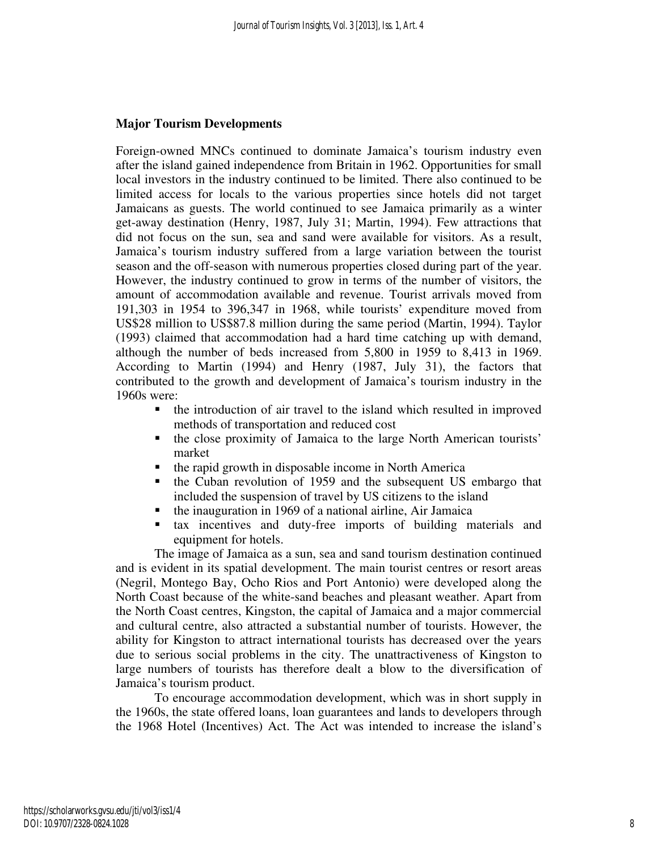#### **Major Tourism Developments**

Foreign-owned MNCs continued to dominate Jamaica's tourism industry even after the island gained independence from Britain in 1962. Opportunities for small local investors in the industry continued to be limited. There also continued to be limited access for locals to the various properties since hotels did not target Jamaicans as guests. The world continued to see Jamaica primarily as a winter get-away destination (Henry, 1987, July 31; Martin, 1994). Few attractions that did not focus on the sun, sea and sand were available for visitors. As a result, Jamaica's tourism industry suffered from a large variation between the tourist season and the off-season with numerous properties closed during part of the year. However, the industry continued to grow in terms of the number of visitors, the amount of accommodation available and revenue. Tourist arrivals moved from 191,303 in 1954 to 396,347 in 1968, while tourists' expenditure moved from US\$28 million to US\$87.8 million during the same period (Martin, 1994). Taylor (1993) claimed that accommodation had a hard time catching up with demand, although the number of beds increased from 5,800 in 1959 to 8,413 in 1969. According to Martin (1994) and Henry (1987, July 31), the factors that contributed to the growth and development of Jamaica's tourism industry in the 1960s were:

- the introduction of air travel to the island which resulted in improved methods of transportation and reduced cost
- the close proximity of Jamaica to the large North American tourists' market
- $\blacksquare$  the rapid growth in disposable income in North America
- **the Cuban revolution of 1959 and the subsequent US embargo that** included the suspension of travel by US citizens to the island
- $\blacksquare$  the inauguration in 1969 of a national airline, Air Jamaica
- tax incentives and duty-free imports of building materials and equipment for hotels.

 The image of Jamaica as a sun, sea and sand tourism destination continued and is evident in its spatial development. The main tourist centres or resort areas (Negril, Montego Bay, Ocho Rios and Port Antonio) were developed along the North Coast because of the white-sand beaches and pleasant weather. Apart from the North Coast centres, Kingston, the capital of Jamaica and a major commercial and cultural centre, also attracted a substantial number of tourists. However, the ability for Kingston to attract international tourists has decreased over the years due to serious social problems in the city. The unattractiveness of Kingston to large numbers of tourists has therefore dealt a blow to the diversification of Jamaica's tourism product.

 To encourage accommodation development, which was in short supply in the 1960s, the state offered loans, loan guarantees and lands to developers through the 1968 Hotel (Incentives) Act. The Act was intended to increase the island's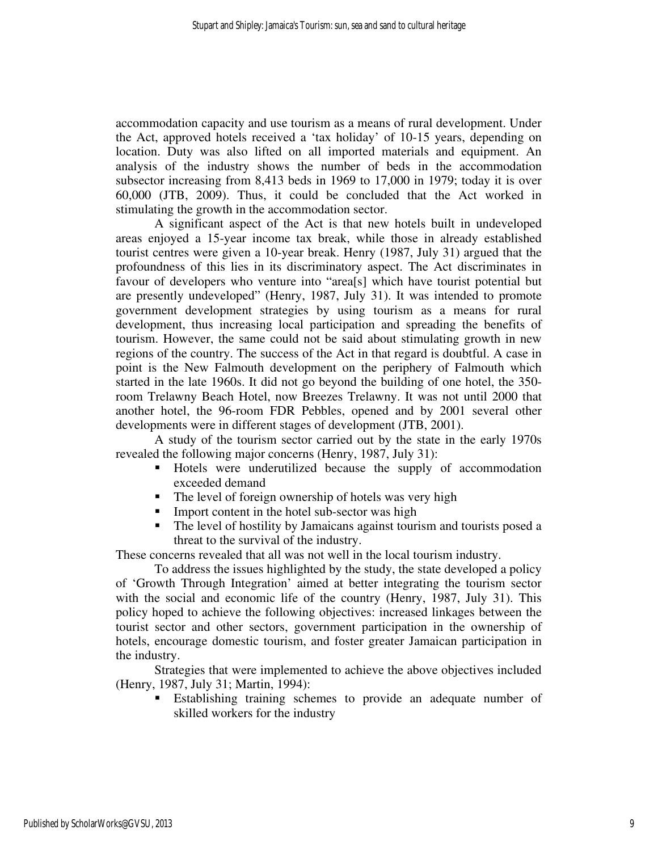accommodation capacity and use tourism as a means of rural development. Under the Act, approved hotels received a 'tax holiday' of 10-15 years, depending on location. Duty was also lifted on all imported materials and equipment. An analysis of the industry shows the number of beds in the accommodation subsector increasing from 8,413 beds in 1969 to 17,000 in 1979; today it is over 60,000 (JTB, 2009). Thus, it could be concluded that the Act worked in stimulating the growth in the accommodation sector.

A significant aspect of the Act is that new hotels built in undeveloped areas enjoyed a 15-year income tax break, while those in already established tourist centres were given a 10-year break. Henry (1987, July 31) argued that the profoundness of this lies in its discriminatory aspect. The Act discriminates in favour of developers who venture into "area[s] which have tourist potential but are presently undeveloped" (Henry, 1987, July 31). It was intended to promote government development strategies by using tourism as a means for rural development, thus increasing local participation and spreading the benefits of tourism. However, the same could not be said about stimulating growth in new regions of the country. The success of the Act in that regard is doubtful. A case in point is the New Falmouth development on the periphery of Falmouth which started in the late 1960s. It did not go beyond the building of one hotel, the 350 room Trelawny Beach Hotel, now Breezes Trelawny. It was not until 2000 that another hotel, the 96-room FDR Pebbles, opened and by 2001 several other developments were in different stages of development (JTB, 2001).

 A study of the tourism sector carried out by the state in the early 1970s revealed the following major concerns (Henry, 1987, July 31):

- Hotels were underutilized because the supply of accommodation exceeded demand
- The level of foreign ownership of hotels was very high
- **Import content in the hotel sub-sector was high**
- The level of hostility by Jamaicans against tourism and tourists posed a threat to the survival of the industry.

These concerns revealed that all was not well in the local tourism industry.

 To address the issues highlighted by the study, the state developed a policy of 'Growth Through Integration' aimed at better integrating the tourism sector with the social and economic life of the country (Henry, 1987, July 31). This policy hoped to achieve the following objectives: increased linkages between the tourist sector and other sectors, government participation in the ownership of hotels, encourage domestic tourism, and foster greater Jamaican participation in the industry.

 Strategies that were implemented to achieve the above objectives included (Henry, 1987, July 31; Martin, 1994):

 Establishing training schemes to provide an adequate number of skilled workers for the industry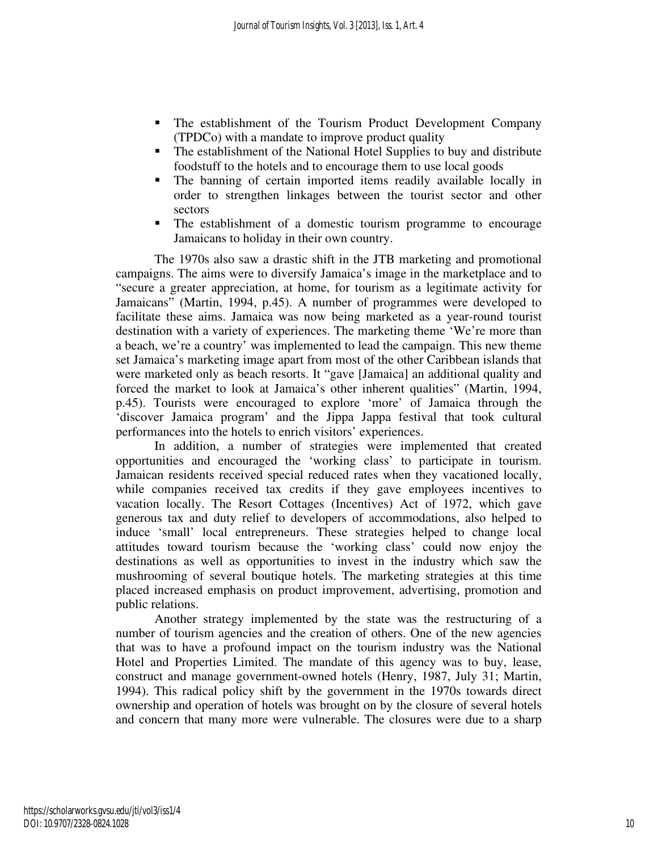- **The establishment of the Tourism Product Development Company** (TPDCo) with a mandate to improve product quality
- The establishment of the National Hotel Supplies to buy and distribute foodstuff to the hotels and to encourage them to use local goods
- The banning of certain imported items readily available locally in order to strengthen linkages between the tourist sector and other sectors
- The establishment of a domestic tourism programme to encourage Jamaicans to holiday in their own country.

 The 1970s also saw a drastic shift in the JTB marketing and promotional campaigns. The aims were to diversify Jamaica's image in the marketplace and to "secure a greater appreciation, at home, for tourism as a legitimate activity for Jamaicans" (Martin, 1994, p.45). A number of programmes were developed to facilitate these aims. Jamaica was now being marketed as a year-round tourist destination with a variety of experiences. The marketing theme 'We're more than a beach, we're a country' was implemented to lead the campaign. This new theme set Jamaica's marketing image apart from most of the other Caribbean islands that were marketed only as beach resorts. It "gave [Jamaica] an additional quality and forced the market to look at Jamaica's other inherent qualities" (Martin, 1994, p.45). Tourists were encouraged to explore 'more' of Jamaica through the 'discover Jamaica program' and the Jippa Jappa festival that took cultural performances into the hotels to enrich visitors' experiences.

In addition, a number of strategies were implemented that created opportunities and encouraged the 'working class' to participate in tourism. Jamaican residents received special reduced rates when they vacationed locally, while companies received tax credits if they gave employees incentives to vacation locally. The Resort Cottages (Incentives) Act of 1972, which gave generous tax and duty relief to developers of accommodations, also helped to induce 'small' local entrepreneurs. These strategies helped to change local attitudes toward tourism because the 'working class' could now enjoy the destinations as well as opportunities to invest in the industry which saw the mushrooming of several boutique hotels. The marketing strategies at this time placed increased emphasis on product improvement, advertising, promotion and public relations.

Another strategy implemented by the state was the restructuring of a number of tourism agencies and the creation of others. One of the new agencies that was to have a profound impact on the tourism industry was the National Hotel and Properties Limited. The mandate of this agency was to buy, lease, construct and manage government-owned hotels (Henry, 1987, July 31; Martin, 1994). This radical policy shift by the government in the 1970s towards direct ownership and operation of hotels was brought on by the closure of several hotels and concern that many more were vulnerable. The closures were due to a sharp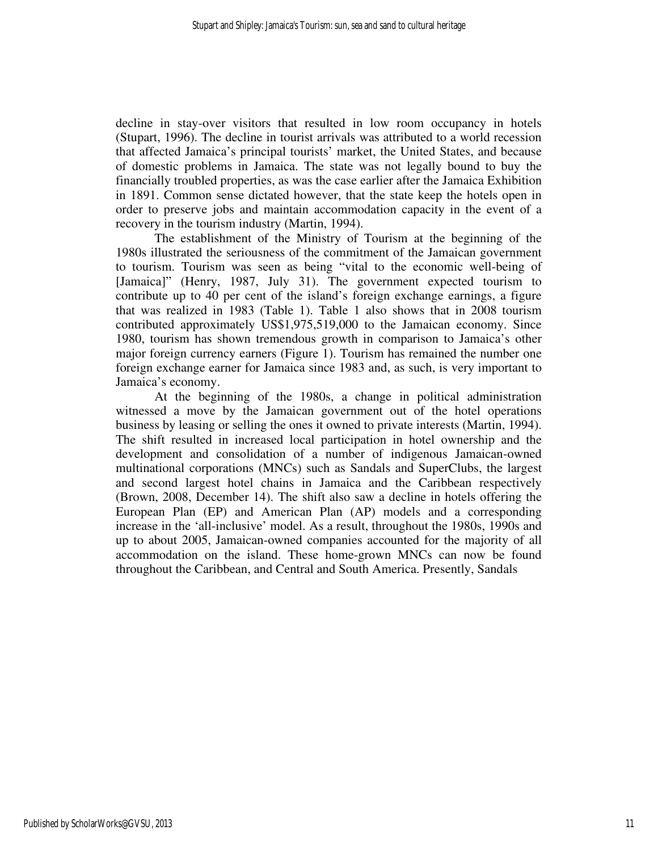decline in stay-over visitors that resulted in low room occupancy in hotels (Stupart, 1996). The decline in tourist arrivals was attributed to a world recession that affected Jamaica's principal tourists' market, the United States, and because of domestic problems in Jamaica. The state was not legally bound to buy the financially troubled properties, as was the case earlier after the Jamaica Exhibition in 1891. Common sense dictated however, that the state keep the hotels open in order to preserve jobs and maintain accommodation capacity in the event of a recovery in the tourism industry (Martin, 1994).

The establishment of the Ministry of Tourism at the beginning of the 1980s illustrated the seriousness of the commitment of the Jamaican government to tourism. Tourism was seen as being "vital to the economic well-being of [Jamaica]" (Henry, 1987, July 31). The government expected tourism to contribute up to 40 per cent of the island's foreign exchange earnings, a figure that was realized in 1983 (Table 1). Table 1 also shows that in 2008 tourism contributed approximately US\$1,975,519,000 to the Jamaican economy. Since 1980, tourism has shown tremendous growth in comparison to Jamaica's other major foreign currency earners (Figure 1). Tourism has remained the number one foreign exchange earner for Jamaica since 1983 and, as such, is very important to Jamaica's economy.

At the beginning of the 1980s, a change in political administration witnessed a move by the Jamaican government out of the hotel operations business by leasing or selling the ones it owned to private interests (Martin, 1994). The shift resulted in increased local participation in hotel ownership and the development and consolidation of a number of indigenous Jamaican-owned multinational corporations (MNCs) such as Sandals and SuperClubs, the largest and second largest hotel chains in Jamaica and the Caribbean respectively (Brown, 2008, December 14). The shift also saw a decline in hotels offering the European Plan (EP) and American Plan (AP) models and a corresponding increase in the 'all-inclusive' model. As a result, throughout the 1980s, 1990s and up to about 2005, Jamaican-owned companies accounted for the majority of all accommodation on the island. These home-grown MNCs can now be found throughout the Caribbean, and Central and South America. Presently, Sandals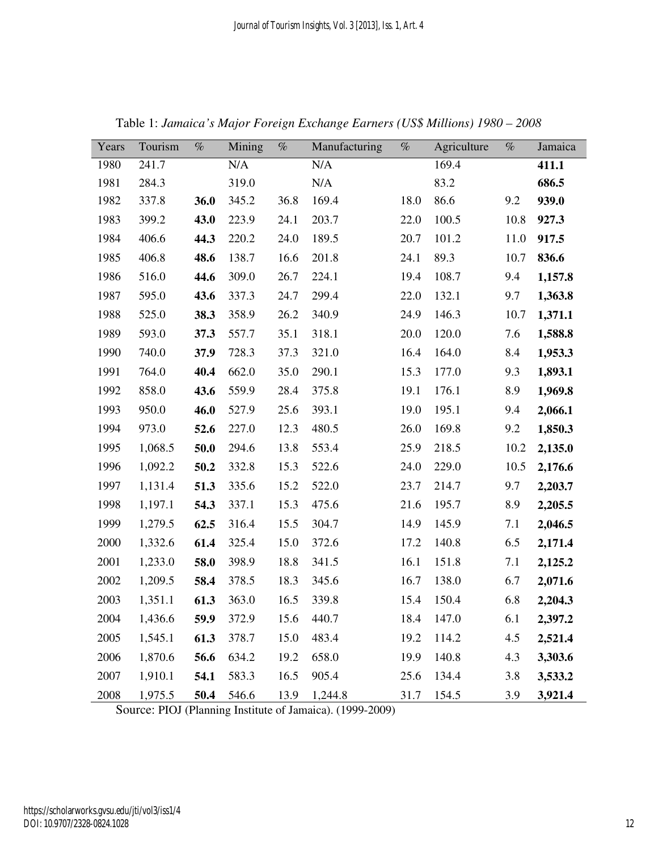| Years | Tourism | $\%$ | Mining | $\%$ | Manufacturing | $\%$ | Agriculture | $\%$ | Jamaica |
|-------|---------|------|--------|------|---------------|------|-------------|------|---------|
| 1980  | 241.7   |      | N/A    |      | N/A           |      | 169.4       |      | 411.1   |
| 1981  | 284.3   |      | 319.0  |      | N/A           |      | 83.2        |      | 686.5   |
| 1982  | 337.8   | 36.0 | 345.2  | 36.8 | 169.4         | 18.0 | 86.6        | 9.2  | 939.0   |
| 1983  | 399.2   | 43.0 | 223.9  | 24.1 | 203.7         | 22.0 | 100.5       | 10.8 | 927.3   |
| 1984  | 406.6   | 44.3 | 220.2  | 24.0 | 189.5         | 20.7 | 101.2       | 11.0 | 917.5   |
| 1985  | 406.8   | 48.6 | 138.7  | 16.6 | 201.8         | 24.1 | 89.3        | 10.7 | 836.6   |
| 1986  | 516.0   | 44.6 | 309.0  | 26.7 | 224.1         | 19.4 | 108.7       | 9.4  | 1,157.8 |
| 1987  | 595.0   | 43.6 | 337.3  | 24.7 | 299.4         | 22.0 | 132.1       | 9.7  | 1,363.8 |
| 1988  | 525.0   | 38.3 | 358.9  | 26.2 | 340.9         | 24.9 | 146.3       | 10.7 | 1,371.1 |
| 1989  | 593.0   | 37.3 | 557.7  | 35.1 | 318.1         | 20.0 | 120.0       | 7.6  | 1,588.8 |
| 1990  | 740.0   | 37.9 | 728.3  | 37.3 | 321.0         | 16.4 | 164.0       | 8.4  | 1,953.3 |
| 1991  | 764.0   | 40.4 | 662.0  | 35.0 | 290.1         | 15.3 | 177.0       | 9.3  | 1,893.1 |
| 1992  | 858.0   | 43.6 | 559.9  | 28.4 | 375.8         | 19.1 | 176.1       | 8.9  | 1,969.8 |
| 1993  | 950.0   | 46.0 | 527.9  | 25.6 | 393.1         | 19.0 | 195.1       | 9.4  | 2,066.1 |
| 1994  | 973.0   | 52.6 | 227.0  | 12.3 | 480.5         | 26.0 | 169.8       | 9.2  | 1,850.3 |
| 1995  | 1,068.5 | 50.0 | 294.6  | 13.8 | 553.4         | 25.9 | 218.5       | 10.2 | 2,135.0 |
| 1996  | 1,092.2 | 50.2 | 332.8  | 15.3 | 522.6         | 24.0 | 229.0       | 10.5 | 2,176.6 |
| 1997  | 1,131.4 | 51.3 | 335.6  | 15.2 | 522.0         | 23.7 | 214.7       | 9.7  | 2,203.7 |
| 1998  | 1,197.1 | 54.3 | 337.1  | 15.3 | 475.6         | 21.6 | 195.7       | 8.9  | 2,205.5 |
| 1999  | 1,279.5 | 62.5 | 316.4  | 15.5 | 304.7         | 14.9 | 145.9       | 7.1  | 2,046.5 |
| 2000  | 1,332.6 | 61.4 | 325.4  | 15.0 | 372.6         | 17.2 | 140.8       | 6.5  | 2,171.4 |
| 2001  | 1,233.0 | 58.0 | 398.9  | 18.8 | 341.5         | 16.1 | 151.8       | 7.1  | 2,125.2 |
| 2002  | 1,209.5 | 58.4 | 378.5  | 18.3 | 345.6         | 16.7 | 138.0       | 6.7  | 2,071.6 |
| 2003  | 1,351.1 | 61.3 | 363.0  | 16.5 | 339.8         | 15.4 | 150.4       | 6.8  | 2,204.3 |
| 2004  | 1,436.6 | 59.9 | 372.9  | 15.6 | 440.7         |      | 18.4 147.0  | 6.1  | 2,397.2 |
| 2005  | 1,545.1 | 61.3 | 378.7  | 15.0 | 483.4         | 19.2 | 114.2       | 4.5  | 2,521.4 |
| 2006  | 1,870.6 | 56.6 | 634.2  | 19.2 | 658.0         | 19.9 | 140.8       | 4.3  | 3,303.6 |
| 2007  | 1,910.1 | 54.1 | 583.3  | 16.5 | 905.4         | 25.6 | 134.4       | 3.8  | 3,533.2 |
| 2008  | 1,975.5 | 50.4 | 546.6  | 13.9 | 1,244.8       | 31.7 | 154.5       | 3.9  | 3,921.4 |

Table 1: *Jamaica's Major Foreign Exchange Earners (US\$ Millions) 1980 – 2008* 

Source: PIOJ (Planning Institute of Jamaica). (1999-2009)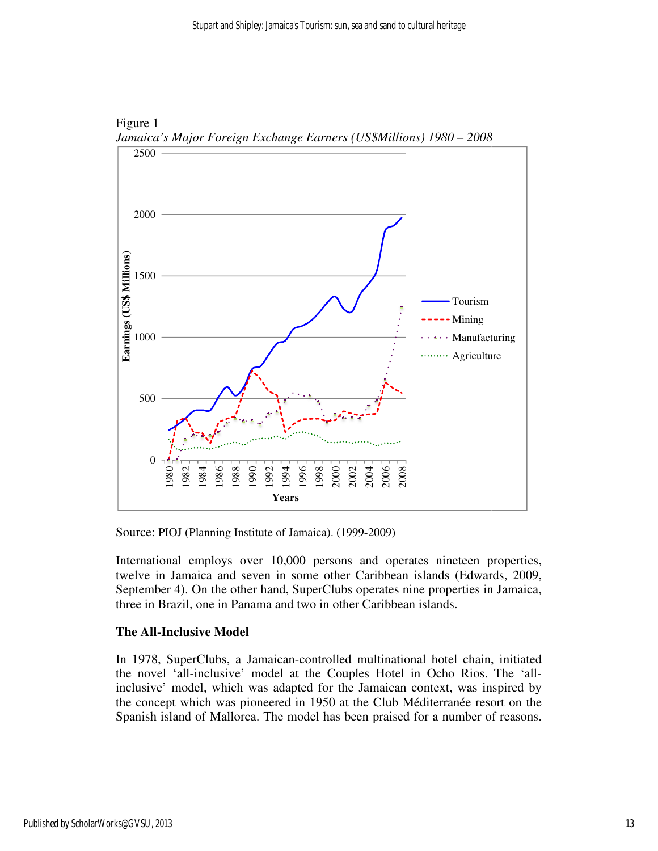

Figure 1 *Jamaica's Major Foreign Exchange Earners (US\$Millions) 1980 – 2008 2008*

Source: PIOJ (Planning Institute of Jamaica). (1999-2009)

International employs over 10,000 persons and operates nineteen properties, twelve in Jamaica and seven in some other Caribbean islands (Edwards, 2009, September 4). On the other hand, SuperClubs operates nine properties in Jamaica, three in Brazil, one in Panama and two in other Caribbean islands. Caribbean islands.twelve in Jamaica and seven in some other Caribbean islands (Edwards, 2009, September 4). On the other hand, SuperClubs operates nine properties in Jamaica, three in Brazil, one in Panama and two in other Caribbean islands

#### **The All-Inclusive Model Inclusive**

In 1978, SuperClubs, a Jamaican-controlled multinational hotel chain, initiated inclusive' model, which was adapted for the Jamaican context, was inspired by the concept which was pioneered in 1950 at the Club Méditerranée resort on the Spanish island of Mallorca. The model has been praised for a number of reasons. which the woled which was pioneered in 1950 at the Club Méditerranée resort Spanish island of Mallorca. The model has been priced method.<br>Supervisoriation of the method Mallong Mallong Mallong Control and September 4). On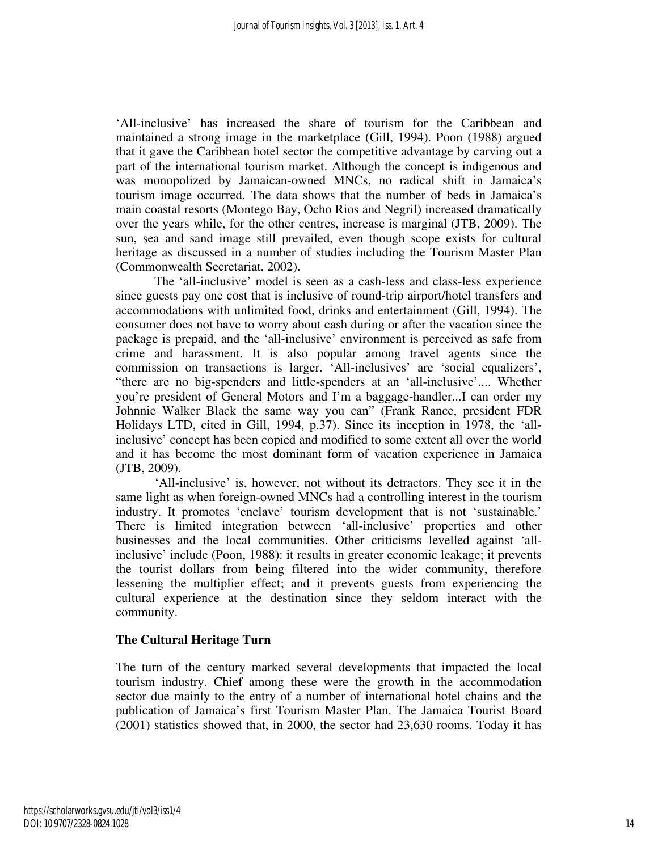'All-inclusive' has increased the share of tourism for the Caribbean and maintained a strong image in the marketplace (Gill, 1994). Poon (1988) argued that it gave the Caribbean hotel sector the competitive advantage by carving out a part of the international tourism market. Although the concept is indigenous and was monopolized by Jamaican-owned MNCs, no radical shift in Jamaica's tourism image occurred. The data shows that the number of beds in Jamaica's main coastal resorts (Montego Bay, Ocho Rios and Negril) increased dramatically over the years while, for the other centres, increase is marginal (JTB, 2009). The sun, sea and sand image still prevailed, even though scope exists for cultural heritage as discussed in a number of studies including the Tourism Master Plan (Commonwealth Secretariat, 2002).

 The 'all-inclusive' model is seen as a cash-less and class-less experience since guests pay one cost that is inclusive of round-trip airport/hotel transfers and accommodations with unlimited food, drinks and entertainment (Gill, 1994). The consumer does not have to worry about cash during or after the vacation since the package is prepaid, and the 'all-inclusive' environment is perceived as safe from crime and harassment. It is also popular among travel agents since the commission on transactions is larger. 'All-inclusives' are 'social equalizers', "there are no big-spenders and little-spenders at an 'all-inclusive'.... Whether you're president of General Motors and I'm a baggage-handler...I can order my Johnnie Walker Black the same way you can" (Frank Rance, president FDR Holidays LTD, cited in Gill, 1994, p.37). Since its inception in 1978, the 'allinclusive' concept has been copied and modified to some extent all over the world and it has become the most dominant form of vacation experience in Jamaica (JTB, 2009).

'All-inclusive' is, however, not without its detractors. They see it in the same light as when foreign-owned MNCs had a controlling interest in the tourism industry. It promotes 'enclave' tourism development that is not 'sustainable.' There is limited integration between 'all-inclusive' properties and other businesses and the local communities. Other criticisms levelled against 'allinclusive' include (Poon, 1988): it results in greater economic leakage; it prevents the tourist dollars from being filtered into the wider community, therefore lessening the multiplier effect; and it prevents guests from experiencing the cultural experience at the destination since they seldom interact with the community.

#### **The Cultural Heritage Turn**

The turn of the century marked several developments that impacted the local tourism industry. Chief among these were the growth in the accommodation sector due mainly to the entry of a number of international hotel chains and the publication of Jamaica's first Tourism Master Plan. The Jamaica Tourist Board (2001) statistics showed that, in 2000, the sector had 23,630 rooms. Today it has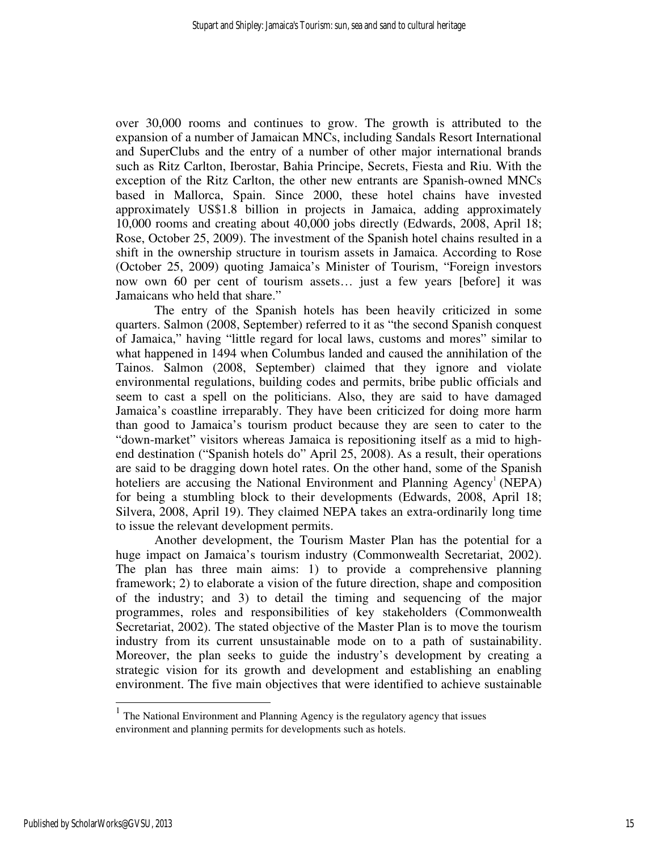over 30,000 rooms and continues to grow. The growth is attributed to the expansion of a number of Jamaican MNCs, including Sandals Resort International and SuperClubs and the entry of a number of other major international brands such as Ritz Carlton, Iberostar, Bahia Principe, Secrets, Fiesta and Riu. With the exception of the Ritz Carlton, the other new entrants are Spanish-owned MNCs based in Mallorca, Spain. Since 2000, these hotel chains have invested approximately US\$1.8 billion in projects in Jamaica, adding approximately 10,000 rooms and creating about 40,000 jobs directly (Edwards, 2008, April 18; Rose, October 25, 2009). The investment of the Spanish hotel chains resulted in a shift in the ownership structure in tourism assets in Jamaica. According to Rose (October 25, 2009) quoting Jamaica's Minister of Tourism, "Foreign investors now own 60 per cent of tourism assets… just a few years [before] it was Jamaicans who held that share."

The entry of the Spanish hotels has been heavily criticized in some quarters. Salmon (2008, September) referred to it as "the second Spanish conquest of Jamaica," having "little regard for local laws, customs and mores" similar to what happened in 1494 when Columbus landed and caused the annihilation of the Tainos. Salmon (2008, September) claimed that they ignore and violate environmental regulations, building codes and permits, bribe public officials and seem to cast a spell on the politicians. Also, they are said to have damaged Jamaica's coastline irreparably. They have been criticized for doing more harm than good to Jamaica's tourism product because they are seen to cater to the "down-market" visitors whereas Jamaica is repositioning itself as a mid to highend destination ("Spanish hotels do" April 25, 2008). As a result, their operations are said to be dragging down hotel rates. On the other hand, some of the Spanish hoteliers are accusing the National Environment and Planning Agency<sup>1</sup> (NEPA) for being a stumbling block to their developments (Edwards, 2008, April 18; Silvera, 2008, April 19). They claimed NEPA takes an extra-ordinarily long time to issue the relevant development permits.

Another development, the Tourism Master Plan has the potential for a huge impact on Jamaica's tourism industry (Commonwealth Secretariat, 2002). The plan has three main aims: 1) to provide a comprehensive planning framework; 2) to elaborate a vision of the future direction, shape and composition of the industry; and 3) to detail the timing and sequencing of the major programmes, roles and responsibilities of key stakeholders (Commonwealth Secretariat, 2002). The stated objective of the Master Plan is to move the tourism industry from its current unsustainable mode on to a path of sustainability. Moreover, the plan seeks to guide the industry's development by creating a strategic vision for its growth and development and establishing an enabling environment. The five main objectives that were identified to achieve sustainable

-

<sup>&</sup>lt;sup>1</sup> The National Environment and Planning Agency is the regulatory agency that issues environment and planning permits for developments such as hotels.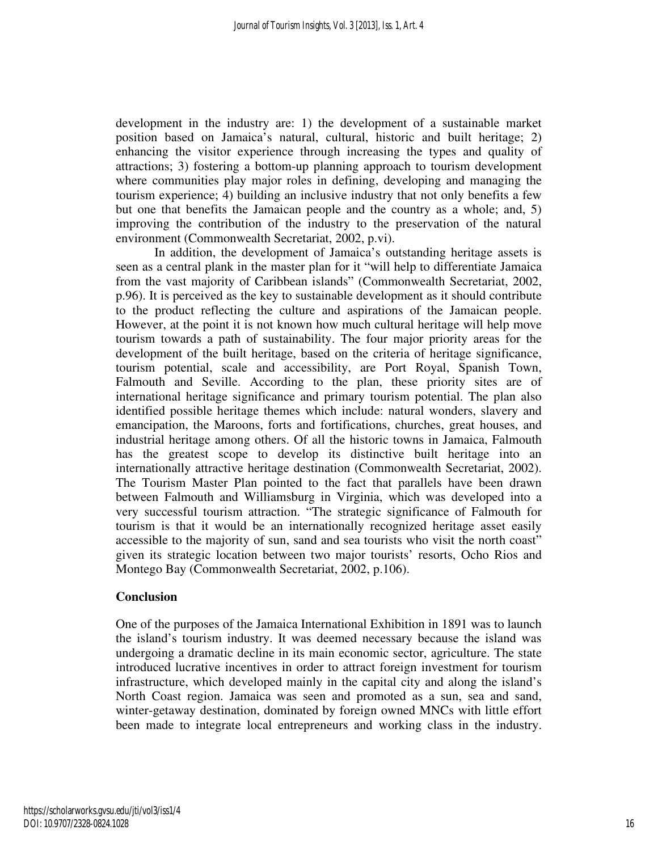development in the industry are: 1) the development of a sustainable market position based on Jamaica's natural, cultural, historic and built heritage; 2) enhancing the visitor experience through increasing the types and quality of attractions; 3) fostering a bottom-up planning approach to tourism development where communities play major roles in defining, developing and managing the tourism experience; 4) building an inclusive industry that not only benefits a few but one that benefits the Jamaican people and the country as a whole; and, 5) improving the contribution of the industry to the preservation of the natural environment (Commonwealth Secretariat, 2002, p.vi).

In addition, the development of Jamaica's outstanding heritage assets is seen as a central plank in the master plan for it "will help to differentiate Jamaica from the vast majority of Caribbean islands" (Commonwealth Secretariat, 2002, p.96). It is perceived as the key to sustainable development as it should contribute to the product reflecting the culture and aspirations of the Jamaican people. However, at the point it is not known how much cultural heritage will help move tourism towards a path of sustainability. The four major priority areas for the development of the built heritage, based on the criteria of heritage significance, tourism potential, scale and accessibility, are Port Royal, Spanish Town, Falmouth and Seville. According to the plan, these priority sites are of international heritage significance and primary tourism potential. The plan also identified possible heritage themes which include: natural wonders, slavery and emancipation, the Maroons, forts and fortifications, churches, great houses, and industrial heritage among others. Of all the historic towns in Jamaica, Falmouth has the greatest scope to develop its distinctive built heritage into an internationally attractive heritage destination (Commonwealth Secretariat, 2002). The Tourism Master Plan pointed to the fact that parallels have been drawn between Falmouth and Williamsburg in Virginia, which was developed into a very successful tourism attraction. "The strategic significance of Falmouth for tourism is that it would be an internationally recognized heritage asset easily accessible to the majority of sun, sand and sea tourists who visit the north coast" given its strategic location between two major tourists' resorts, Ocho Rios and Montego Bay (Commonwealth Secretariat, 2002, p.106).

#### **Conclusion**

One of the purposes of the Jamaica International Exhibition in 1891 was to launch the island's tourism industry. It was deemed necessary because the island was undergoing a dramatic decline in its main economic sector, agriculture. The state introduced lucrative incentives in order to attract foreign investment for tourism infrastructure, which developed mainly in the capital city and along the island's North Coast region. Jamaica was seen and promoted as a sun, sea and sand, winter-getaway destination, dominated by foreign owned MNCs with little effort been made to integrate local entrepreneurs and working class in the industry.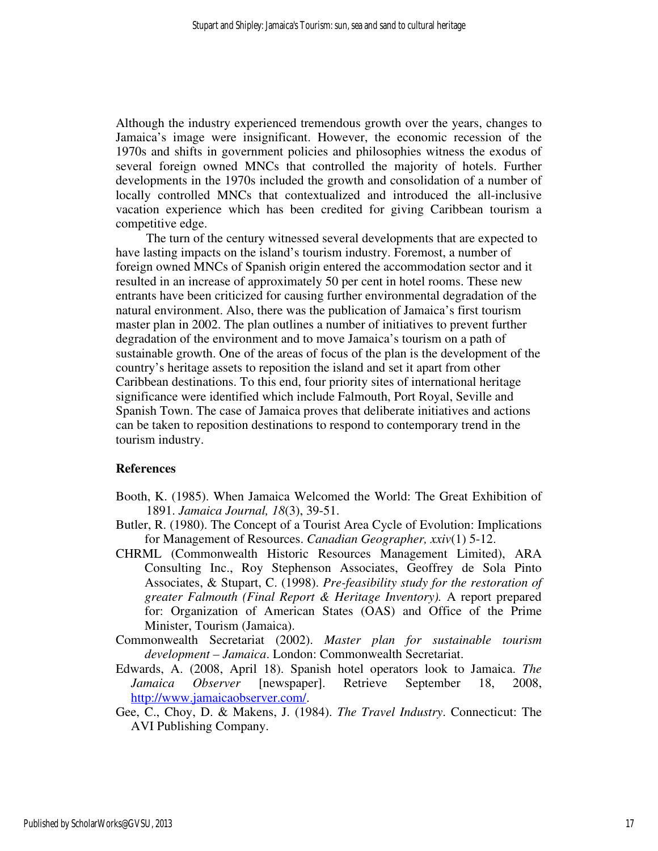Although the industry experienced tremendous growth over the years, changes to Jamaica's image were insignificant. However, the economic recession of the 1970s and shifts in government policies and philosophies witness the exodus of several foreign owned MNCs that controlled the majority of hotels. Further developments in the 1970s included the growth and consolidation of a number of locally controlled MNCs that contextualized and introduced the all-inclusive vacation experience which has been credited for giving Caribbean tourism a competitive edge.

The turn of the century witnessed several developments that are expected to have lasting impacts on the island's tourism industry. Foremost, a number of foreign owned MNCs of Spanish origin entered the accommodation sector and it resulted in an increase of approximately 50 per cent in hotel rooms. These new entrants have been criticized for causing further environmental degradation of the natural environment. Also, there was the publication of Jamaica's first tourism master plan in 2002. The plan outlines a number of initiatives to prevent further degradation of the environment and to move Jamaica's tourism on a path of sustainable growth. One of the areas of focus of the plan is the development of the country's heritage assets to reposition the island and set it apart from other Caribbean destinations. To this end, four priority sites of international heritage significance were identified which include Falmouth, Port Royal, Seville and Spanish Town. The case of Jamaica proves that deliberate initiatives and actions can be taken to reposition destinations to respond to contemporary trend in the tourism industry.

#### **References**

- Booth, K. (1985). When Jamaica Welcomed the World: The Great Exhibition of 1891. *Jamaica Journal, 18*(3), 39-51.
- Butler, R. (1980). The Concept of a Tourist Area Cycle of Evolution: Implications for Management of Resources. *Canadian Geographer, xxiv*(1) 5-12.
- CHRML (Commonwealth Historic Resources Management Limited), ARA Consulting Inc., Roy Stephenson Associates, Geoffrey de Sola Pinto Associates, & Stupart, C. (1998). *Pre-feasibility study for the restoration of greater Falmouth (Final Report & Heritage Inventory).* A report prepared for: Organization of American States (OAS) and Office of the Prime Minister, Tourism (Jamaica).
- Commonwealth Secretariat (2002). *Master plan for sustainable tourism development – Jamaica*. London: Commonwealth Secretariat.
- Edwards, A. (2008, April 18). Spanish hotel operators look to Jamaica. *The Jamaica Observer* [newspaper]. Retrieve September 18, 2008, http://www.jamaicaobserver.com/.
- Gee, C., Choy, D. & Makens, J. (1984). *The Travel Industry*. Connecticut: The AVI Publishing Company.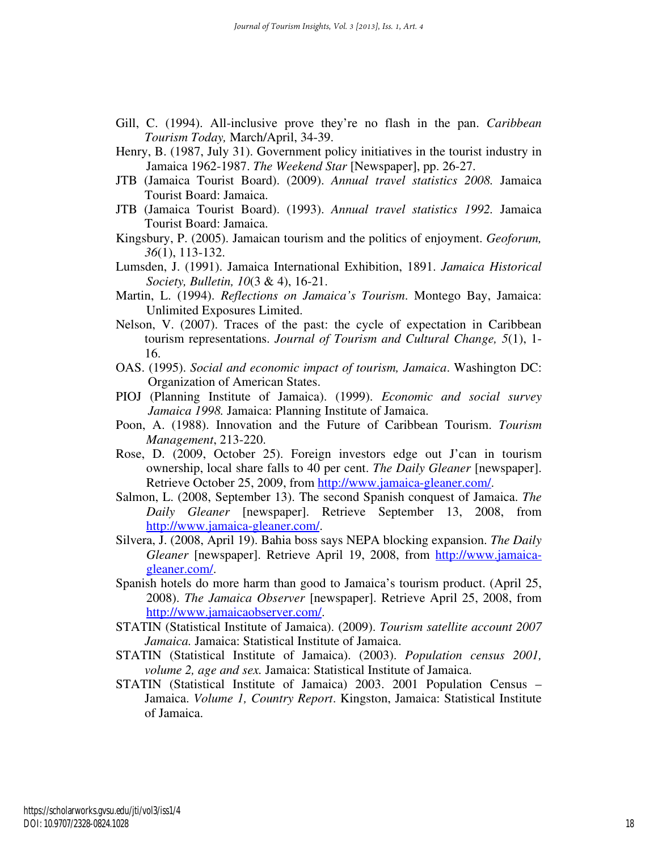- Gill, C. (1994). All-inclusive prove they're no flash in the pan. *Caribbean Tourism Today,* March/April, 34-39.
- Henry, B. (1987, July 31). Government policy initiatives in the tourist industry in Jamaica 1962-1987. *The Weekend Star* [Newspaper], pp. 26-27.
- JTB (Jamaica Tourist Board). (2009). *Annual travel statistics 2008.* Jamaica Tourist Board: Jamaica.
- JTB (Jamaica Tourist Board). (1993). *Annual travel statistics 1992.* Jamaica Tourist Board: Jamaica.
- Kingsbury, P. (2005). Jamaican tourism and the politics of enjoyment. *Geoforum, 36*(1), 113-132.
- Lumsden, J. (1991). Jamaica International Exhibition, 1891. *Jamaica Historical Society, Bulletin, 10*(3 & 4), 16-21.
- Martin, L. (1994). *Reflections on Jamaica's Tourism*. Montego Bay, Jamaica: Unlimited Exposures Limited.
- Nelson, V. (2007). Traces of the past: the cycle of expectation in Caribbean tourism representations. *Journal of Tourism and Cultural Change, 5*(1), 1- 16.
- OAS. (1995). *Social and economic impact of tourism, Jamaica*. Washington DC: Organization of American States.
- PIOJ (Planning Institute of Jamaica). (1999). *Economic and social survey Jamaica 1998.* Jamaica: Planning Institute of Jamaica.
- Poon, A. (1988). Innovation and the Future of Caribbean Tourism. *Tourism Management*, 213-220.
- Rose, D. (2009, October 25). Foreign investors edge out J'can in tourism ownership, local share falls to 40 per cent. *The Daily Gleaner* [newspaper]. Retrieve October 25, 2009, from http://www.jamaica-gleaner.com/.
- Salmon, L. (2008, September 13). The second Spanish conquest of Jamaica. *The Daily Gleaner* [newspaper]. Retrieve September 13, 2008, from http://www.jamaica-gleaner.com/.
- Silvera, J. (2008, April 19). Bahia boss says NEPA blocking expansion. *The Daily Gleaner* [newspaper]. Retrieve April 19, 2008, from http://www.jamaicagleaner.com/.
- Spanish hotels do more harm than good to Jamaica's tourism product. (April 25, 2008). *The Jamaica Observer* [newspaper]. Retrieve April 25, 2008, from http://www.jamaicaobserver.com/.
- STATIN (Statistical Institute of Jamaica). (2009). *Tourism satellite account 2007 Jamaica.* Jamaica: Statistical Institute of Jamaica.
- STATIN (Statistical Institute of Jamaica). (2003). *Population census 2001, volume 2, age and sex.* Jamaica: Statistical Institute of Jamaica.
- STATIN (Statistical Institute of Jamaica) 2003. 2001 Population Census Jamaica. *Volume 1, Country Report*. Kingston, Jamaica: Statistical Institute of Jamaica.